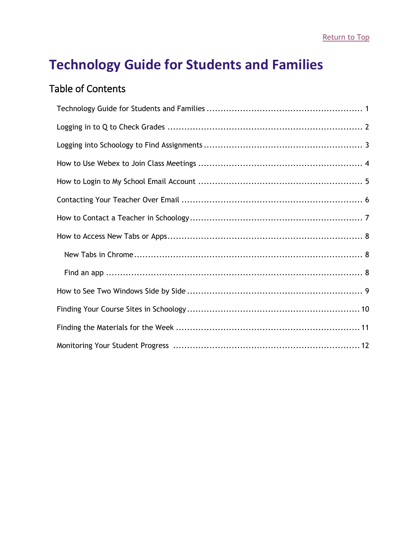# <span id="page-0-0"></span>**Technology Guide for Students and Families**

### Table of Contents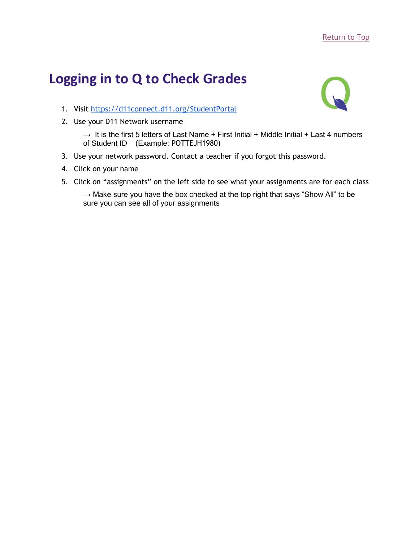# <span id="page-1-0"></span>**Logging in to Q to Check Grades**



- 1. Visit<https://d11connect.d11.org/StudentPortal>
- 2. Use your D11 Network username

 $\rightarrow$  It is the first 5 letters of Last Name + First Initial + Middle Initial + Last 4 numbers of Student ID (Example: POTTEJH1980)

- 3. Use your network password. Contact a teacher if you forgot this password.
- 4. Click on your name
- 5. Click on "assignments" on the left side to see what your assignments are for each class

 $\rightarrow$  Make sure you have the box checked at the top right that says "Show All" to be sure you can see all of your assignments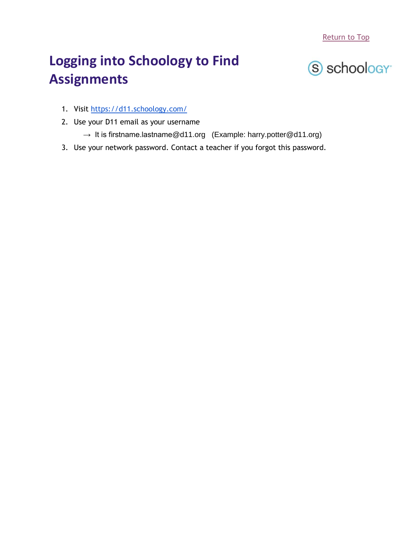[Return to Top](#page-0-0)

# <span id="page-2-0"></span>**Logging into Schoology to Find Assignments**



- 1. Visit<https://d11.schoology.com/>
- 2. Use your D11 email as your username
	- $\rightarrow$  It is firstname.lastname@d11.org (Example: harry.potter@d11.org)
- 3. Use your network password. Contact a teacher if you forgot this password.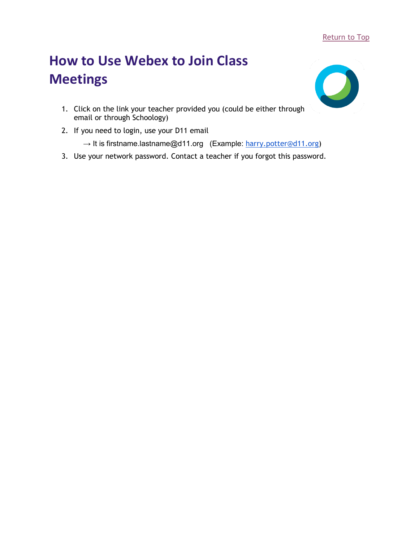#### [Return to Top](#page-0-0)

# <span id="page-3-0"></span>**How to Use Webex to Join Class Meetings**



- 1. Click on the link your teacher provided you (could be either through email or through Schoology)
- 2. If you need to login, use your D11 email
	- → It is firstname.lastname@d11.org (Example: [harry.potter@d11.org\)](mailto:harry.potter@d11.org)
- 3. Use your network password. Contact a teacher if you forgot this password.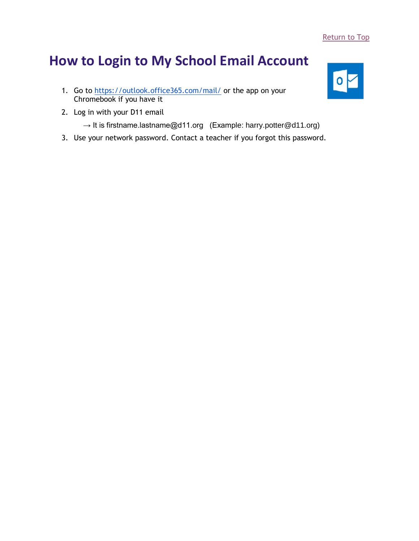## <span id="page-4-0"></span>**How to Login to My School Email Account**

- 1. Go to<https://outlook.office365.com/mail/> or the app on your Chromebook if you have it
- 2. Log in with your D11 email
	- $\rightarrow$  It is firstname.lastname@d11.org (Example: harry.potter@d11.org)
- 3. Use your network password. Contact a teacher if you forgot this password.

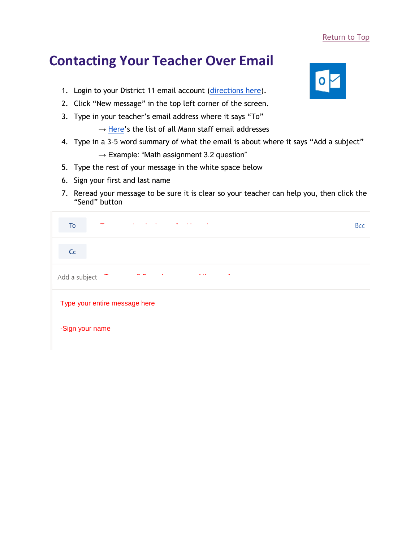#### [Return to Top](#page-0-0)

## <span id="page-5-0"></span>**Contacting Your Teacher Over Email**

- 1. Login to your District 11 email account [\(directions here\)](#page-4-0).
- 2. Click "New message" in the top left corner of the screen.
- 3. Type in your teacher's email address where it says "To"
	- $\rightarrow$  [Here](https://www.d11.org/domain/2030)'s the list of all Mann staff email addresses
- 4. Type in a 3-5 word summary of what the email is about where it says "Add a subject"
	- $\rightarrow$  Example: "Math assignment 3.2 question"
- 5. Type the rest of your message in the white space below
- 6. Sign your first and last name
- 7. Reread your message to be sure it is clear so your teacher can help you, then click the "Send" button

| the contract of the contract of the contract of the<br>To                                   | <b>Bcc</b> |
|---------------------------------------------------------------------------------------------|------------|
| C <sub>C</sub>                                                                              |            |
| $\sim 100$ km s $^{-1}$<br>$\mathcal{A}$<br>$\sim$ 10<br>$\sim$ $-$<br>Add a subject $\tau$ |            |
| Type your entire message here                                                               |            |
| -Sign your name                                                                             |            |

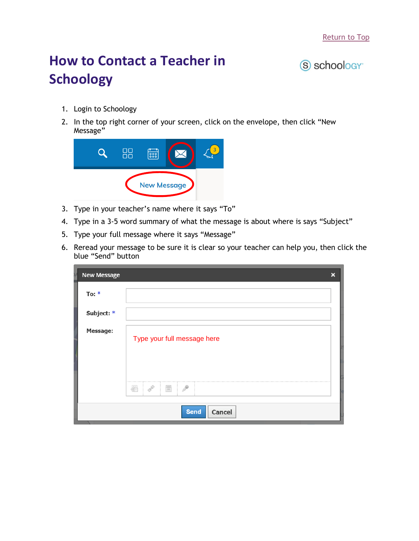# <span id="page-6-0"></span>**How to Contact a Teacher in Schoology**

### (S) schoology<sup>-</sup>

- 1. Login to Schoology
- 2. In the top right corner of your screen, click on the envelope, then click "New Message"



- 3. Type in your teacher's name where it says "To"
- 4. Type in a 3-5 word summary of what the message is about where is says "Subject"
- 5. Type your full message where it says "Message"
- 6. Reread your message to be sure it is clear so your teacher can help you, then click the blue "Send" button

| <b>New Message</b><br>IA |                                                                                                               | $\boldsymbol{\mathsf{x}}$ |
|--------------------------|---------------------------------------------------------------------------------------------------------------|---------------------------|
| To: $*$                  |                                                                                                               |                           |
| Subject: *               |                                                                                                               |                           |
| <b>Message:</b>          | Type your full message here                                                                                   |                           |
|                          | <br>$\sigma^{\!{\scriptscriptstyle\circ}\!{\scriptscriptstyle\circ}}$<br>i F<br>$\overline{\phantom{a}}$<br>æ |                           |
|                          | <b>Send</b><br>Cancel                                                                                         |                           |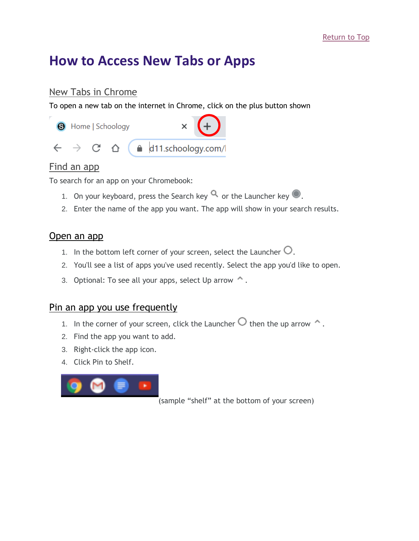## <span id="page-7-0"></span>**How to Access New Tabs or Apps**

### <span id="page-7-1"></span>New Tabs in Chrome

To open a new tab on the internet in Chrome, click on the plus button shown



### <span id="page-7-2"></span>Find an app

To search for an app on your Chromebook:

- 1. On your keyboard, press the Search key  $\mathbf 0$  or the Launcher key  $\mathbf 0$ .
- 2. Enter the name of the app you want. The app will show in your search results.

### Open an app

- 1. In the bottom left corner of your screen, select the Launcher  $\bigcirc$ .
- 2. You'll see a list of apps you've used recently. Select the app you'd like to open.
- 3. Optional: To see all your apps, select Up arrow  $\hat{\mathcal{L}}$ .

### Pin an app you use frequently

- 1. In the corner of your screen, click the Launcher  $\bigcirc$  then the up arrow  $\bigcirc$ .
- 2. Find the app you want to add.
- 3. Right-click the app icon.
- 4. Click Pin to Shelf.



(sample "shelf" at the bottom of your screen)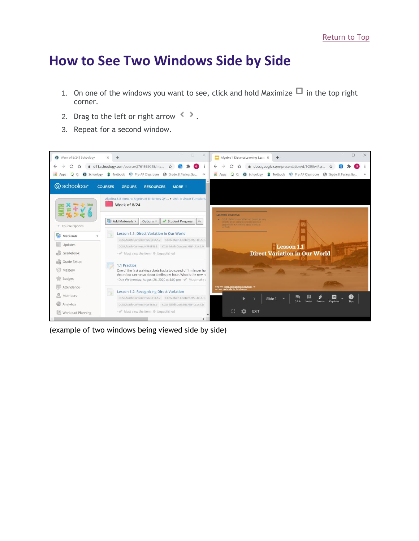### <span id="page-8-0"></span>**How to See Two Windows Side by Side**

- 1. On one of the windows you want to see, click and hold Maximize  $\Box$  in the top right corner.
- 2. Drag to the left or right arrow  $\langle \rangle$ .
- 3. Repeat for a second window.



(example of two windows being viewed side by side)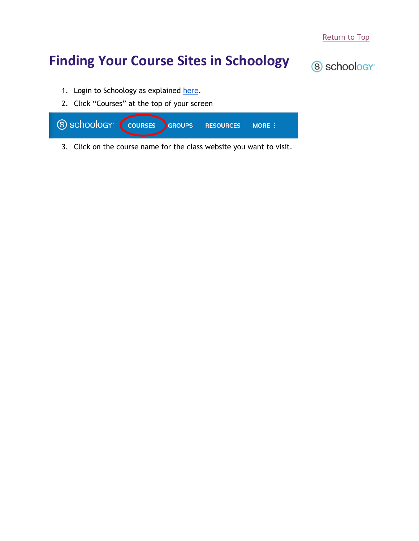# <span id="page-9-0"></span>**Finding Your Course Sites in Schoology**



- 1. Login to Schoology as explained [here.](#page-2-0)
- 2. Click "Courses" at the top of your screen

| S SCHOOLOGY COURSES GROUPS RESOURCES MORE : |  |  |
|---------------------------------------------|--|--|
|                                             |  |  |
|                                             |  |  |

3. Click on the course name for the class website you want to visit.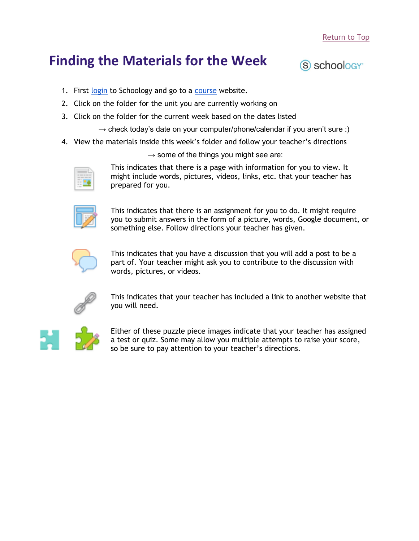## <span id="page-10-0"></span>**Finding the Materials for the Week**



- 1. First [login](#page-2-0) to Schoology and go to a [course](#page-9-0) website.
- 2. Click on the folder for the unit you are currently working on
- 3. Click on the folder for the current week based on the dates listed

 $\rightarrow$  check today's date on your computer/phone/calendar if you aren't sure :)

4. View the materials inside this week's folder and follow your teacher's directions

 $\rightarrow$  some of the things you might see are:



This indicates that there is a page with information for you to view. It might include words, pictures, videos, links, etc. that your teacher has prepared for you.



This indicates that there is an assignment for you to do. It might require you to submit answers in the form of a picture, words, Google document, or something else. Follow directions your teacher has given.



This indicates that you have a discussion that you will add a post to be a part of. Your teacher might ask you to contribute to the discussion with words, pictures, or videos.



This indicates that your teacher has included a link to another website that you will need.



Either of these puzzle piece images indicate that your teacher has assigned a test or quiz. Some may allow you multiple attempts to raise your score, so be sure to pay attention to your teacher's directions.